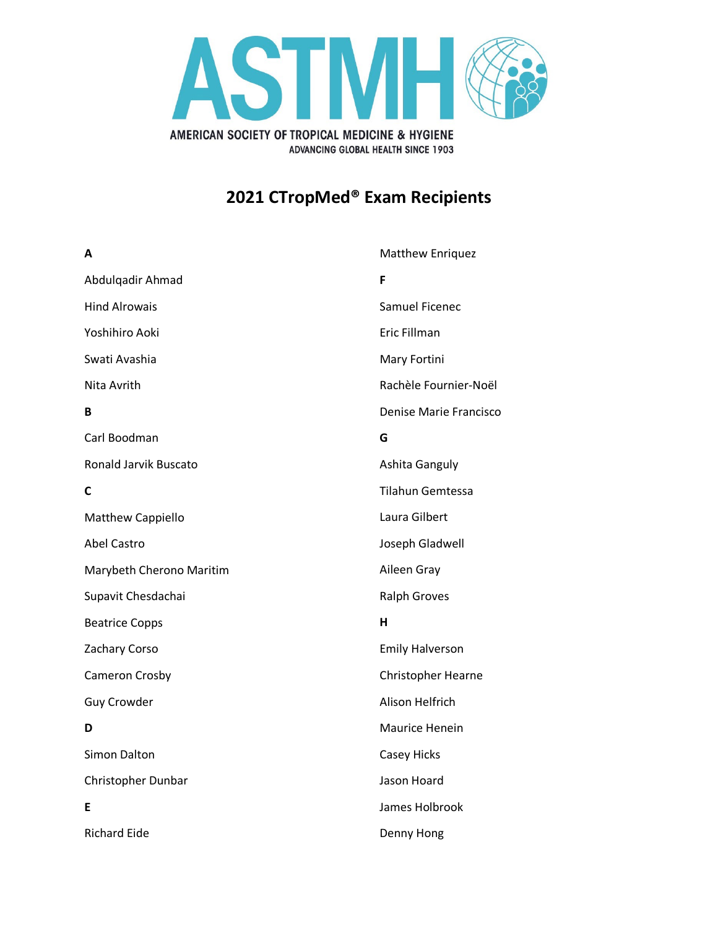

## **2021 CTropMed® Exam Recipients**

| A                        | <b>Matthew Enriquez</b>   |
|--------------------------|---------------------------|
| Abdulqadir Ahmad         | F                         |
| <b>Hind Alrowais</b>     | <b>Samuel Ficenec</b>     |
| Yoshihiro Aoki           | Eric Fillman              |
| Swati Avashia            | Mary Fortini              |
| Nita Avrith              | Rachèle Fournier-Noël     |
| B                        | Denise Marie Francisco    |
| Carl Boodman             | G                         |
| Ronald Jarvik Buscato    | Ashita Ganguly            |
| C                        | <b>Tilahun Gemtessa</b>   |
| Matthew Cappiello        | Laura Gilbert             |
| <b>Abel Castro</b>       | Joseph Gladwell           |
| Marybeth Cherono Maritim | Aileen Gray               |
| Supavit Chesdachai       | <b>Ralph Groves</b>       |
| <b>Beatrice Copps</b>    | н                         |
| Zachary Corso            | <b>Emily Halverson</b>    |
| Cameron Crosby           | <b>Christopher Hearne</b> |
| <b>Guy Crowder</b>       | Alison Helfrich           |
| D                        | Maurice Henein            |
| Simon Dalton             | <b>Casey Hicks</b>        |
| Christopher Dunbar       | Jason Hoard               |
| Е                        | James Holbrook            |
| <b>Richard Eide</b>      | Denny Hong                |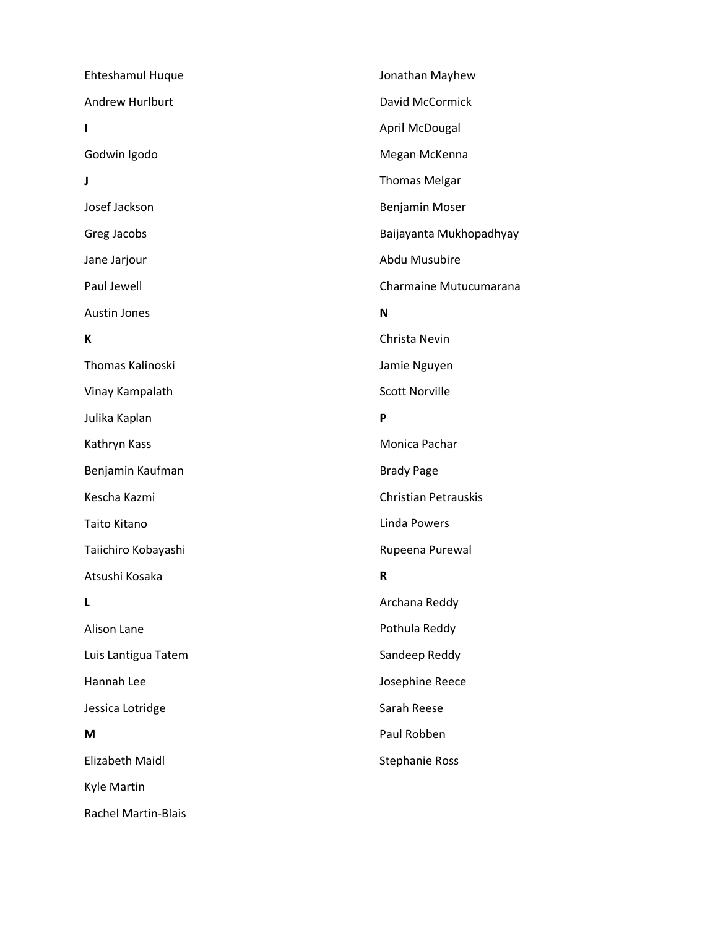Ehteshamul Huque Andrew Hurlburt **I** Godwin Igodo **J** Josef Jackson Greg Jacobs Jane Jarjour Paul Jewell Austin Jones **K** Thomas Kalinoski Vinay Kampalath Julika Kaplan Kathryn Kass Benjamin Kaufman Kescha Kazmi Taito Kitano Taiichiro Kobayashi Atsushi Kosaka **L** Alison Lane Luis Lantigua Tatem Hannah Lee Jessica Lotridge **M** Elizabeth Maidl Kyle Martin Rachel Martin-Blais Jonathan Mayhew David McCormick April McDougal Megan McKenna Thomas Melgar Benjamin Moser Baijayanta Mukhopadhyay Abdu Musubire Charmaine Mutucumarana **N** Christa Nevin Jamie Nguyen Scott Norville **P** Monica Pachar Brady Page Christian Petrauskis Linda Powers Rupeena Purewal **R** Archana Reddy Pothula Reddy Sandeep Reddy Josephine Reece Sarah Reese Paul Robben Stephanie Ross